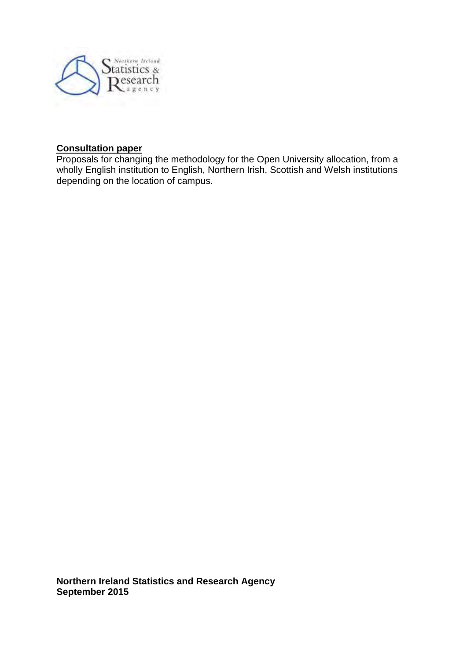

#### **Consultation paper**

Proposals for changing the methodology for the Open University allocation, from a wholly English institution to English, Northern Irish, Scottish and Welsh institutions depending on the location of campus.

**Northern Ireland Statistics and Research Agency September 2015**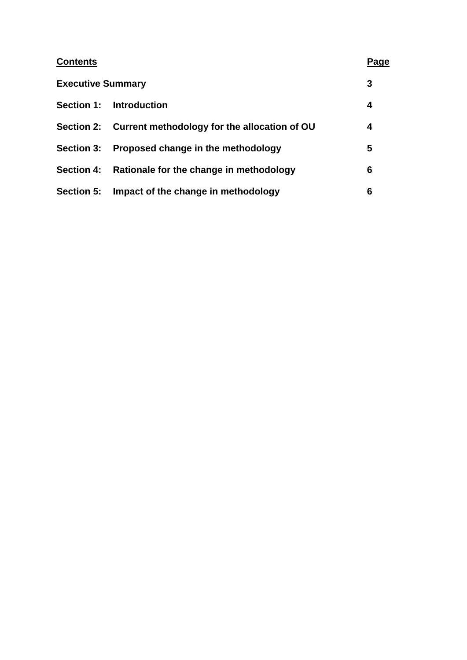| <b>Contents</b>          |                                                         | Page |
|--------------------------|---------------------------------------------------------|------|
| <b>Executive Summary</b> |                                                         | 3    |
| <b>Section 1:</b>        | Introduction                                            | 4    |
|                          | Section 2: Current methodology for the allocation of OU | 4    |
| <b>Section 3:</b>        | Proposed change in the methodology                      | 5    |
| <b>Section 4:</b>        | Rationale for the change in methodology                 | 6    |
| <b>Section 5:</b>        | Impact of the change in methodology                     | 6    |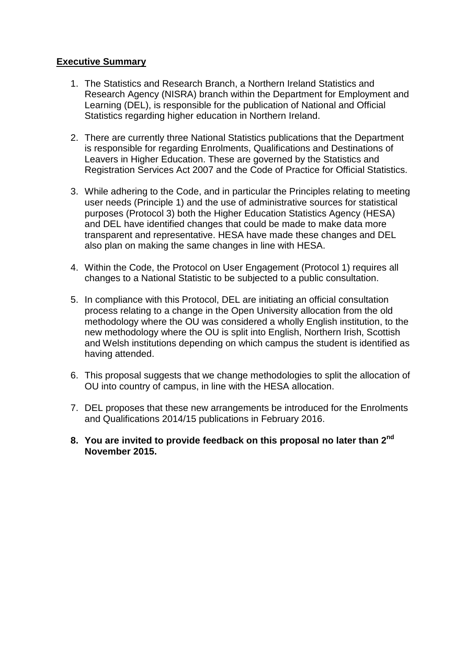#### **Executive Summary**

- 1. The Statistics and Research Branch, a Northern Ireland Statistics and Research Agency (NISRA) branch within the Department for Employment and Learning (DEL), is responsible for the publication of National and Official Statistics regarding higher education in Northern Ireland.
- 2. There are currently three National Statistics publications that the Department is responsible for regarding Enrolments, Qualifications and Destinations of Leavers in Higher Education. These are governed by the Statistics and Registration Services Act 2007 and the Code of Practice for Official Statistics.
- 3. While adhering to the Code, and in particular the Principles relating to meeting user needs (Principle 1) and the use of administrative sources for statistical purposes (Protocol 3) both the Higher Education Statistics Agency (HESA) and DEL have identified changes that could be made to make data more transparent and representative. HESA have made these changes and DEL also plan on making the same changes in line with HESA.
- 4. Within the Code, the Protocol on User Engagement (Protocol 1) requires all changes to a National Statistic to be subjected to a public consultation.
- 5. In compliance with this Protocol, DEL are initiating an official consultation process relating to a change in the Open University allocation from the old methodology where the OU was considered a wholly English institution, to the new methodology where the OU is split into English, Northern Irish, Scottish and Welsh institutions depending on which campus the student is identified as having attended.
- 6. This proposal suggests that we change methodologies to split the allocation of OU into country of campus, in line with the HESA allocation.
- 7. DEL proposes that these new arrangements be introduced for the Enrolments and Qualifications 2014/15 publications in February 2016.
- **8. You are invited to provide feedback on this proposal no later than 2nd November 2015.**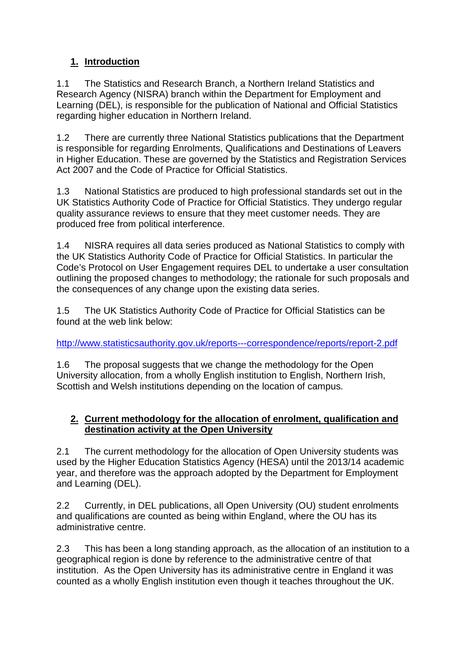# **1. Introduction**

1.1 The Statistics and Research Branch, a Northern Ireland Statistics and Research Agency (NISRA) branch within the Department for Employment and Learning (DEL), is responsible for the publication of National and Official Statistics regarding higher education in Northern Ireland.

1.2 There are currently three National Statistics publications that the Department is responsible for regarding Enrolments, Qualifications and Destinations of Leavers in Higher Education. These are governed by the Statistics and Registration Services Act 2007 and the Code of Practice for Official Statistics.

1.3 National Statistics are produced to high professional standards set out in the UK Statistics Authority Code of Practice for Official Statistics. They undergo regular quality assurance reviews to ensure that they meet customer needs. They are produced free from political interference.

1.4 NISRA requires all data series produced as National Statistics to comply with the UK Statistics Authority Code of Practice for Official Statistics. In particular the Code's Protocol on User Engagement requires DEL to undertake a user consultation outlining the proposed changes to methodology; the rationale for such proposals and the consequences of any change upon the existing data series.

1.5 The UK Statistics Authority Code of Practice for Official Statistics can be found at the web link below:

#### <http://www.statisticsauthority.gov.uk/reports---correspondence/reports/report-2.pdf>

1.6 The proposal suggests that we change the methodology for the Open University allocation, from a wholly English institution to English, Northern Irish, Scottish and Welsh institutions depending on the location of campus.

## **2. Current methodology for the allocation of enrolment, qualification and destination activity at the Open University**

2.1 The current methodology for the allocation of Open University students was used by the Higher Education Statistics Agency (HESA) until the 2013/14 academic year, and therefore was the approach adopted by the Department for Employment and Learning (DEL).

2.2 Currently, in DEL publications, all Open University (OU) student enrolments and qualifications are counted as being within England, where the OU has its administrative centre.

2.3 This has been a long standing approach, as the allocation of an institution to a geographical region is done by reference to the administrative centre of that institution. As the Open University has its administrative centre in England it was counted as a wholly English institution even though it teaches throughout the UK.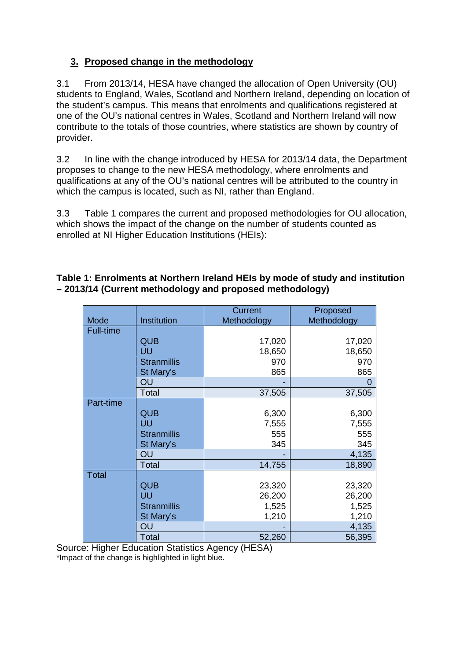## **3. Proposed change in the methodology**

3.1 From 2013/14, HESA have changed the allocation of Open University (OU) students to England, Wales, Scotland and Northern Ireland, depending on location of the student's campus. This means that enrolments and qualifications registered at one of the OU's national centres in Wales, Scotland and Northern Ireland will now contribute to the totals of those countries, where statistics are shown by country of provider.

3.2 In line with the change introduced by HESA for 2013/14 data, the Department proposes to change to the new HESA methodology, where enrolments and qualifications at any of the OU's national centres will be attributed to the country in which the campus is located, such as NI, rather than England.

3.3 Table 1 compares the current and proposed methodologies for OU allocation, which shows the impact of the change on the number of students counted as enrolled at NI Higher Education Institutions (HEIs):

## **Table 1: Enrolments at Northern Ireland HEIs by mode of study and institution – 2013/14 (Current methodology and proposed methodology)**

|                  |                    | <b>Current</b> | Proposed    |
|------------------|--------------------|----------------|-------------|
| Mode             | Institution        | Methodology    | Methodology |
| <b>Full-time</b> |                    |                |             |
|                  | <b>QUB</b>         | 17,020         | 17,020      |
|                  | UU                 | 18,650         | 18,650      |
|                  | <b>Stranmillis</b> | 970            | 970         |
|                  | St Mary's          | 865            | 865         |
|                  | OU                 |                |             |
|                  | Total              | 37,505         | 37,505      |
| Part-time        |                    |                |             |
|                  | <b>QUB</b>         | 6,300          | 6,300       |
|                  | UU                 | 7,555          | 7,555       |
|                  | <b>Stranmillis</b> | 555            | 555         |
|                  | St Mary's          | 345            | 345         |
|                  | OU                 |                | 4,135       |
|                  | <b>Total</b>       | 14,755         | 18,890      |
| <b>Total</b>     |                    |                |             |
|                  | QUB                | 23,320         | 23,320      |
|                  | UU                 | 26,200         | 26,200      |
|                  | <b>Stranmillis</b> | 1,525          | 1,525       |
|                  | St Mary's          | 1,210          | 1,210       |
|                  | OU                 |                | 4,135       |
|                  | <b>Total</b>       | 52,260         | 56,395      |

Source: Higher Education Statistics Agency (HESA) \*Impact of the change is highlighted in light blue.